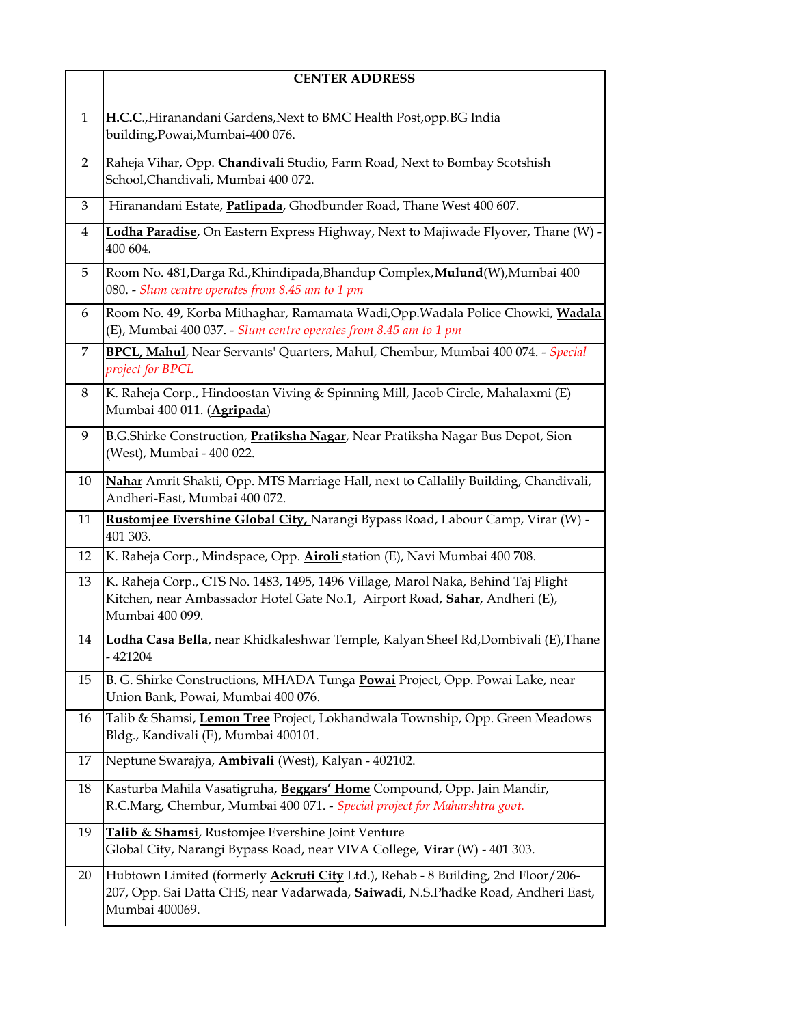|                | <b>CENTER ADDRESS</b>                                                                                                                                                                                 |
|----------------|-------------------------------------------------------------------------------------------------------------------------------------------------------------------------------------------------------|
| $\mathbf{1}$   | H.C.C., Hiranandani Gardens, Next to BMC Health Post, opp. BG India<br>building, Powai, Mumbai-400 076.                                                                                               |
| $\overline{2}$ | Raheja Vihar, Opp. Chandivali Studio, Farm Road, Next to Bombay Scotshish<br>School,Chandivali, Mumbai 400 072.                                                                                       |
| 3              | Hiranandani Estate, Patlipada, Ghodbunder Road, Thane West 400 607.                                                                                                                                   |
| 4              | Lodha Paradise, On Eastern Express Highway, Next to Majiwade Flyover, Thane (W) -<br>400 604.                                                                                                         |
| 5              | Room No. 481, Darga Rd., Khindipada, Bhandup Complex, Mulund(W), Mumbai 400<br>080. - Slum centre operates from 8.45 am to 1 pm                                                                       |
| 6              | Room No. 49, Korba Mithaghar, Ramamata Wadi, Opp. Wadala Police Chowki, Wadala<br>(E), Mumbai 400 037. - Slum centre operates from 8.45 am to 1 pm                                                    |
| 7              | BPCL, Mahul, Near Servants' Quarters, Mahul, Chembur, Mumbai 400 074. - Special<br>project for BPCL                                                                                                   |
| 8              | K. Raheja Corp., Hindoostan Viving & Spinning Mill, Jacob Circle, Mahalaxmi (E)<br>Mumbai 400 011. (Agripada)                                                                                         |
| 9              | B.G.Shirke Construction, <b>Pratiksha Nagar</b> , Near Pratiksha Nagar Bus Depot, Sion<br>(West), Mumbai - 400 022.                                                                                   |
| 10             | Nahar Amrit Shakti, Opp. MTS Marriage Hall, next to Callalily Building, Chandivali,<br>Andheri-East, Mumbai 400 072.                                                                                  |
| 11             | Rustomjee Evershine Global City, Narangi Bypass Road, Labour Camp, Virar (W) -<br>401 303.                                                                                                            |
| 12             | K. Raheja Corp., Mindspace, Opp. Airoli station (E), Navi Mumbai 400 708.                                                                                                                             |
| 13             | K. Raheja Corp., CTS No. 1483, 1495, 1496 Village, Marol Naka, Behind Taj Flight<br>Kitchen, near Ambassador Hotel Gate No.1, Airport Road, Sahar, Andheri (E),<br>Mumbai 400 099.                    |
| 14             | Lodha Casa Bella, near Khidkaleshwar Temple, Kalyan Sheel Rd, Dombivali (E), Thane<br>$-421204$                                                                                                       |
| 15             | B. G. Shirke Constructions, MHADA Tunga Powai Project, Opp. Powai Lake, near<br>Union Bank, Powai, Mumbai 400 076.                                                                                    |
| 16             | Talib & Shamsi, Lemon Tree Project, Lokhandwala Township, Opp. Green Meadows<br>Bldg., Kandivali (E), Mumbai 400101.                                                                                  |
| 17             | Neptune Swarajya, <b>Ambivali</b> (West), Kalyan - 402102.                                                                                                                                            |
| 18             | Kasturba Mahila Vasatigruha, Beggars' Home Compound, Opp. Jain Mandir,<br>R.C.Marg, Chembur, Mumbai 400 071. - Special project for Maharshtra govt.                                                   |
| 19             | Talib & Shamsi, Rustomjee Evershine Joint Venture<br>Global City, Narangi Bypass Road, near VIVA College, Virar (W) - 401 303.                                                                        |
| 20             | Hubtown Limited (formerly <b>Ackruti City</b> Ltd.), Rehab - 8 Building, 2nd Floor/206-<br>207, Opp. Sai Datta CHS, near Vadarwada, <b>Saiwadi</b> , N.S.Phadke Road, Andheri East,<br>Mumbai 400069. |